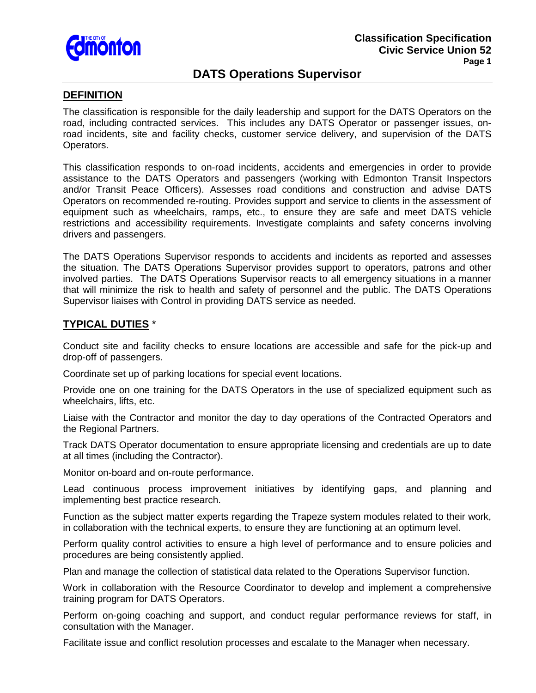

# **DATS Operations Supervisor**

### **DEFINITION**

The classification is responsible for the daily leadership and support for the DATS Operators on the road, including contracted services. This includes any DATS Operator or passenger issues, onroad incidents, site and facility checks, customer service delivery, and supervision of the DATS Operators.

This classification responds to on-road incidents, accidents and emergencies in order to provide assistance to the DATS Operators and passengers (working with Edmonton Transit Inspectors and/or Transit Peace Officers). Assesses road conditions and construction and advise DATS Operators on recommended re-routing. Provides support and service to clients in the assessment of equipment such as wheelchairs, ramps, etc., to ensure they are safe and meet DATS vehicle restrictions and accessibility requirements. Investigate complaints and safety concerns involving drivers and passengers.

The DATS Operations Supervisor responds to accidents and incidents as reported and assesses the situation. The DATS Operations Supervisor provides support to operators, patrons and other involved parties. The DATS Operations Supervisor reacts to all emergency situations in a manner that will minimize the risk to health and safety of personnel and the public. The DATS Operations Supervisor liaises with Control in providing DATS service as needed.

## **TYPICAL DUTIES** \*

Conduct site and facility checks to ensure locations are accessible and safe for the pick-up and drop-off of passengers.

Coordinate set up of parking locations for special event locations.

Provide one on one training for the DATS Operators in the use of specialized equipment such as wheelchairs, lifts, etc.

Liaise with the Contractor and monitor the day to day operations of the Contracted Operators and the Regional Partners.

Track DATS Operator documentation to ensure appropriate licensing and credentials are up to date at all times (including the Contractor).

Monitor on-board and on-route performance.

Lead continuous process improvement initiatives by identifying gaps, and planning and implementing best practice research.

Function as the subject matter experts regarding the Trapeze system modules related to their work, in collaboration with the technical experts, to ensure they are functioning at an optimum level.

Perform quality control activities to ensure a high level of performance and to ensure policies and procedures are being consistently applied.

Plan and manage the collection of statistical data related to the Operations Supervisor function.

Work in collaboration with the Resource Coordinator to develop and implement a comprehensive training program for DATS Operators.

Perform on-going coaching and support, and conduct regular performance reviews for staff, in consultation with the Manager.

Facilitate issue and conflict resolution processes and escalate to the Manager when necessary.